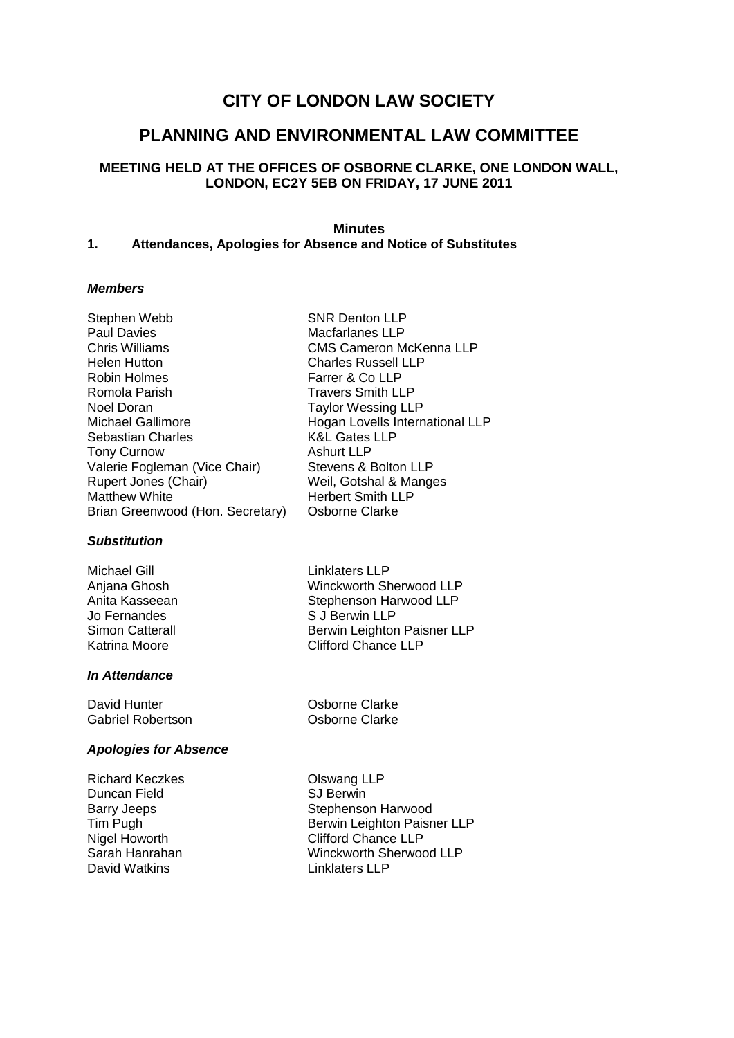# **CITY OF LONDON LAW SOCIETY**

## **PLANNING AND ENVIRONMENTAL LAW COMMITTEE**

## **MEETING HELD AT THE OFFICES OF OSBORNE CLARKE, ONE LONDON WALL, LONDON, EC2Y 5EB ON FRIDAY, 17 JUNE 2011**

## **Minutes**

CMS Cameron McKenna LLP

## **1. Attendances, Apologies for Absence and Notice of Substitutes**

## *Members*

Stephen Webb SNR Denton LLP Paul Davies **Macfarlanes LLP**<br>Chris Williams **Macfarlanes LLP**<br>CMS Cameron M Helen Hutton Charles Russell LLP Robin Holmes **Farrer & Co LLP** Romola Parish Travers Smith LLP Noel Doran Taylor Wessing LLP Michael Gallimore **Hogan Lovells International LLP** Sebastian Charles<br>
Tony Curnow<br>
Ashurt LLP Tony Curnow Valerie Fogleman (Vice Chair) Stevens & Bolton LLP Rupert Jones (Chair) Weil, Gotshal & Manges Matthew White **Herbert Smith LLP** Brian Greenwood (Hon. Secretary) Osborne Clarke

## *Substitution*

Michael Gill **Linklaters** LLP Anjana Ghosh Winckworth Sherwood LLP<br>
Anita Kasseean Stephenson Harwood LLP Jo Fernandes S J Berwin LLP Simon Catterall Berwin Leighton Paisner LLP Katrina Moore **Clifford Chance LLP** 

## *In Attendance*

David Hunter **David Hunter** Clarke Gabriel Robertson **Cabriel Robertson Cabriel Robertson** 

Stephenson Harwood LLP

## *Apologies for Absence*

Richard Keczkes **Olswang LLP** Duncan Field SJ Berwin David Watkins **Linklaters** LLP

Barry Jeeps Stephenson Harwood Tim Pugh Berwin Leighton Paisner LLP Nigel Howorth Clifford Chance LLP Sarah Hanrahan Winckworth Sherwood LLP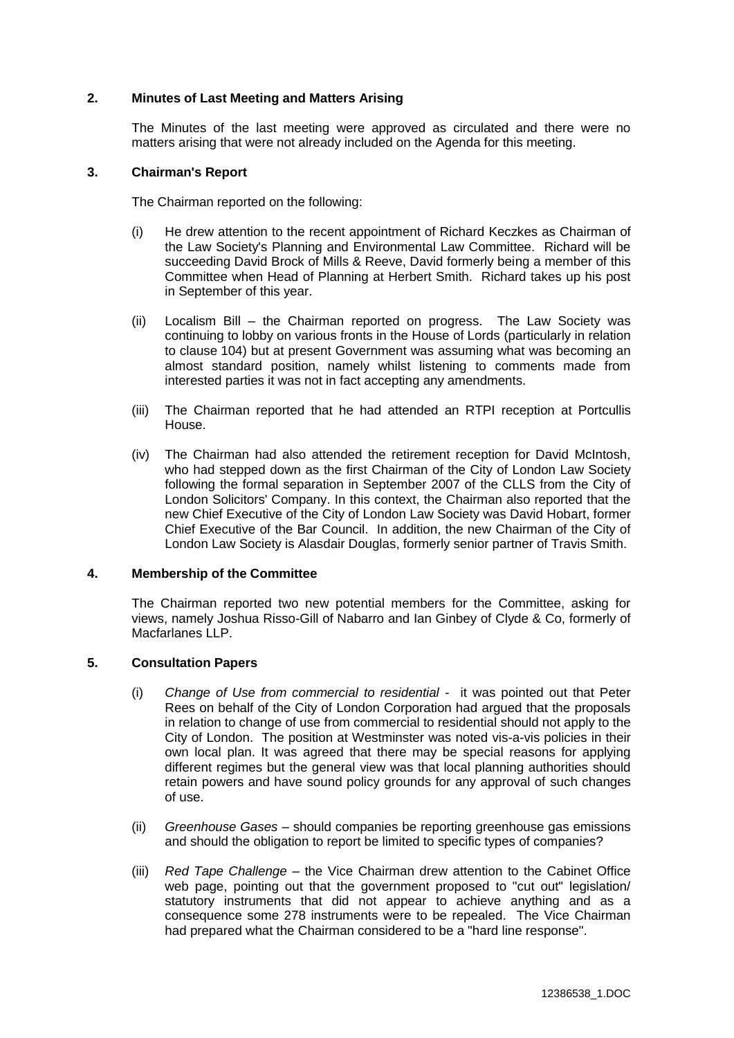## **2. Minutes of Last Meeting and Matters Arising**

The Minutes of the last meeting were approved as circulated and there were no matters arising that were not already included on the Agenda for this meeting.

## **3. Chairman's Report**

The Chairman reported on the following:

- (i) He drew attention to the recent appointment of Richard Keczkes as Chairman of the Law Society's Planning and Environmental Law Committee. Richard will be succeeding David Brock of Mills & Reeve, David formerly being a member of this Committee when Head of Planning at Herbert Smith. Richard takes up his post in September of this year.
- (ii) Localism Bill the Chairman reported on progress. The Law Society was continuing to lobby on various fronts in the House of Lords (particularly in relation to clause 104) but at present Government was assuming what was becoming an almost standard position, namely whilst listening to comments made from interested parties it was not in fact accepting any amendments.
- (iii) The Chairman reported that he had attended an RTPI reception at Portcullis House.
- (iv) The Chairman had also attended the retirement reception for David McIntosh, who had stepped down as the first Chairman of the City of London Law Society following the formal separation in September 2007 of the CLLS from the City of London Solicitors' Company. In this context, the Chairman also reported that the new Chief Executive of the City of London Law Society was David Hobart, former Chief Executive of the Bar Council. In addition, the new Chairman of the City of London Law Society is Alasdair Douglas, formerly senior partner of Travis Smith.

## **4. Membership of the Committee**

The Chairman reported two new potential members for the Committee, asking for views, namely Joshua Risso-Gill of Nabarro and Ian Ginbey of Clyde & Co, formerly of Macfarlanes LLP.

## **5. Consultation Papers**

- (i) *Change of Use from commercial to residential* it was pointed out that Peter Rees on behalf of the City of London Corporation had argued that the proposals in relation to change of use from commercial to residential should not apply to the City of London. The position at Westminster was noted vis-a-vis policies in their own local plan. It was agreed that there may be special reasons for applying different regimes but the general view was that local planning authorities should retain powers and have sound policy grounds for any approval of such changes of use.
- (ii) *Greenhouse Gases* should companies be reporting greenhouse gas emissions and should the obligation to report be limited to specific types of companies?
- (iii) *Red Tape Challenge* the Vice Chairman drew attention to the Cabinet Office web page, pointing out that the government proposed to "cut out" legislation/ statutory instruments that did not appear to achieve anything and as a consequence some 278 instruments were to be repealed. The Vice Chairman had prepared what the Chairman considered to be a "hard line response".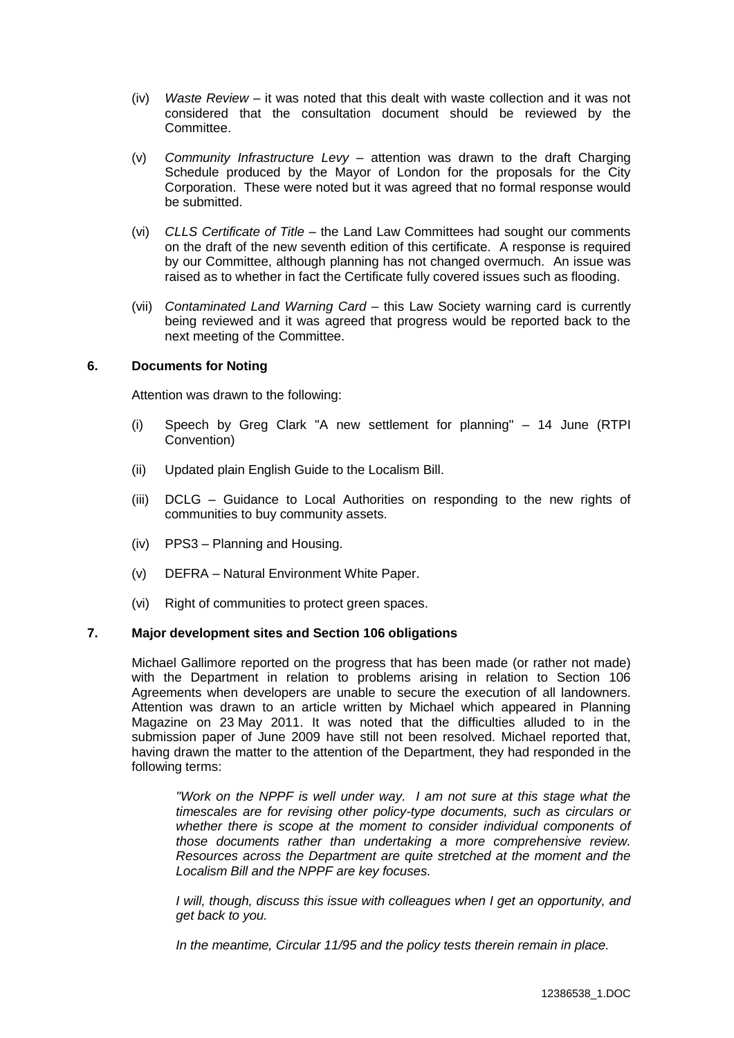- (iv) *Waste Review* it was noted that this dealt with waste collection and it was not considered that the consultation document should be reviewed by the Committee.
- (v) *Community Infrastructure Levy* attention was drawn to the draft Charging Schedule produced by the Mayor of London for the proposals for the City Corporation. These were noted but it was agreed that no formal response would be submitted.
- (vi) *CLLS Certificate of Title* the Land Law Committees had sought our comments on the draft of the new seventh edition of this certificate. A response is required by our Committee, although planning has not changed overmuch. An issue was raised as to whether in fact the Certificate fully covered issues such as flooding.
- (vii) *Contaminated Land Warning Card* this Law Society warning card is currently being reviewed and it was agreed that progress would be reported back to the next meeting of the Committee.

## **6. Documents for Noting**

Attention was drawn to the following:

- (i) Speech by Greg Clark "A new settlement for planning" 14 June (RTPI Convention)
- (ii) Updated plain English Guide to the Localism Bill.
- (iii) DCLG Guidance to Local Authorities on responding to the new rights of communities to buy community assets.
- (iv) PPS3 Planning and Housing.
- (v) DEFRA Natural Environment White Paper.
- (vi) Right of communities to protect green spaces.

## **7. Major development sites and Section 106 obligations**

Michael Gallimore reported on the progress that has been made (or rather not made) with the Department in relation to problems arising in relation to Section 106 Agreements when developers are unable to secure the execution of all landowners. Attention was drawn to an article written by Michael which appeared in Planning Magazine on 23 May 2011. It was noted that the difficulties alluded to in the submission paper of June 2009 have still not been resolved. Michael reported that, having drawn the matter to the attention of the Department, they had responded in the following terms:

*"Work on the NPPF is well under way. I am not sure at this stage what the timescales are for revising other policy-type documents, such as circulars or whether there is scope at the moment to consider individual components of those documents rather than undertaking a more comprehensive review. Resources across the Department are quite stretched at the moment and the Localism Bill and the NPPF are key focuses.*

*I* will, though, discuss this issue with colleagues when I get an opportunity, and *get back to you.*

*In the meantime, Circular 11/95 and the policy tests therein remain in place.*